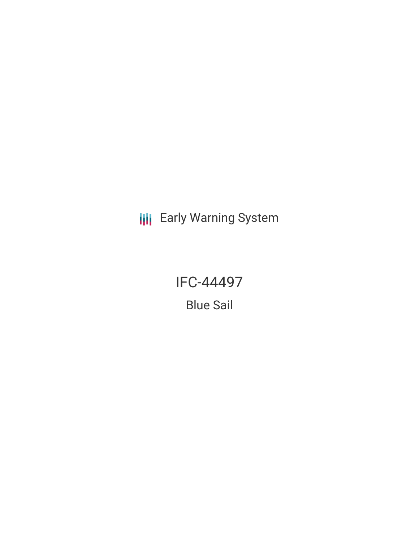**III** Early Warning System

IFC-44497

Blue Sail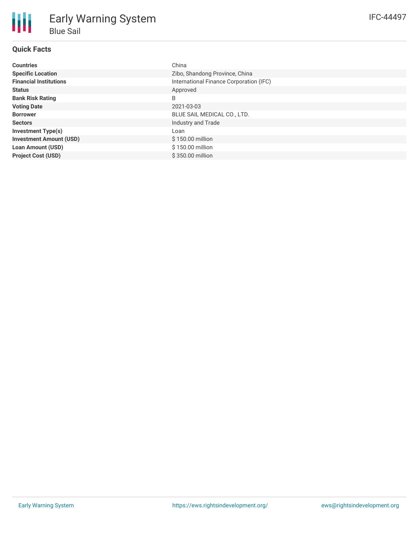# **Quick Facts**

| <b>Countries</b>               | China                                   |
|--------------------------------|-----------------------------------------|
| <b>Specific Location</b>       | Zibo, Shandong Province, China          |
| <b>Financial Institutions</b>  | International Finance Corporation (IFC) |
| <b>Status</b>                  | Approved                                |
| <b>Bank Risk Rating</b>        | B                                       |
| <b>Voting Date</b>             | 2021-03-03                              |
| <b>Borrower</b>                | BLUE SAIL MEDICAL CO., LTD.             |
| <b>Sectors</b>                 | Industry and Trade                      |
| <b>Investment Type(s)</b>      | Loan                                    |
| <b>Investment Amount (USD)</b> | \$150.00 million                        |
| <b>Loan Amount (USD)</b>       | \$150.00 million                        |
| <b>Project Cost (USD)</b>      | \$350.00 million                        |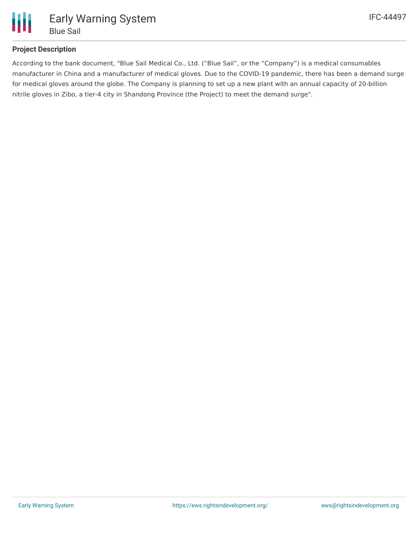

# **Project Description**

According to the bank document, "Blue Sail Medical Co., Ltd. ("Blue Sail", or the "Company") is a medical consumables manufacturer in China and a manufacturer of medical gloves. Due to the COVID-19 pandemic, there has been a demand surge for medical gloves around the globe. The Company is planning to set up a new plant with an annual capacity of 20-billion nitrile gloves in Zibo, a tier-4 city in Shandong Province (the Project) to meet the demand surge".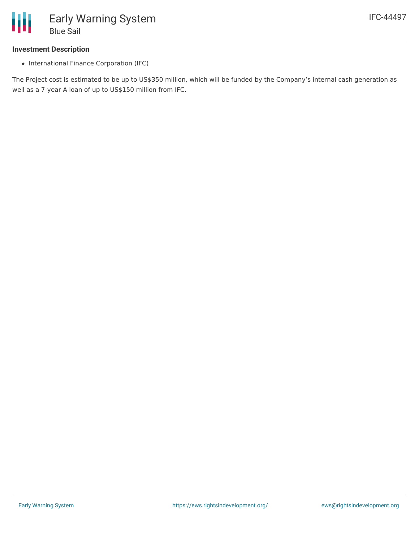

## **Investment Description**

• International Finance Corporation (IFC)

The Project cost is estimated to be up to US\$350 million, which will be funded by the Company's internal cash generation as well as a 7-year A loan of up to US\$150 million from IFC.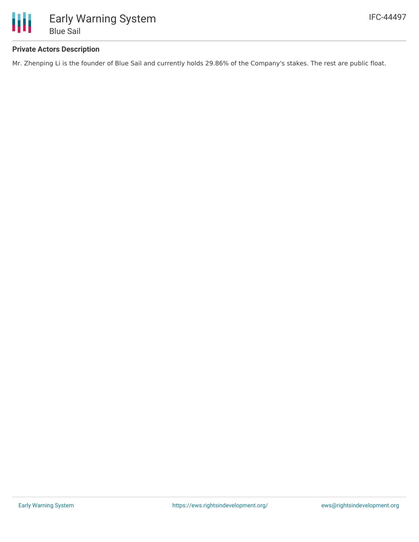

# **Private Actors Description**

Mr. Zhenping Li is the founder of Blue Sail and currently holds 29.86% of the Company's stakes. The rest are public float.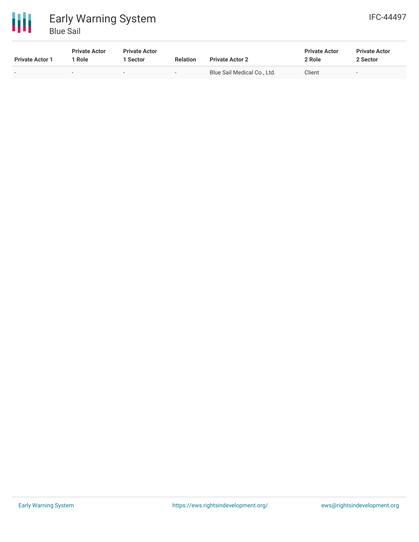

| <b>Private Actor 1</b> | <b>Private Actor</b><br>1 Role | <b>Private Actor</b><br>1 Sector | <b>Relation</b>          | <b>Private Actor 2</b>      | <b>Private Actor</b><br>2 Role | <b>Private Actor</b><br>2 Sector |
|------------------------|--------------------------------|----------------------------------|--------------------------|-----------------------------|--------------------------------|----------------------------------|
|                        | $\overline{\phantom{0}}$       | $\overline{\phantom{0}}$         | $\overline{\phantom{0}}$ | Blue Sail Medical Co., Ltd. | Client                         | $\overline{\phantom{0}}$         |